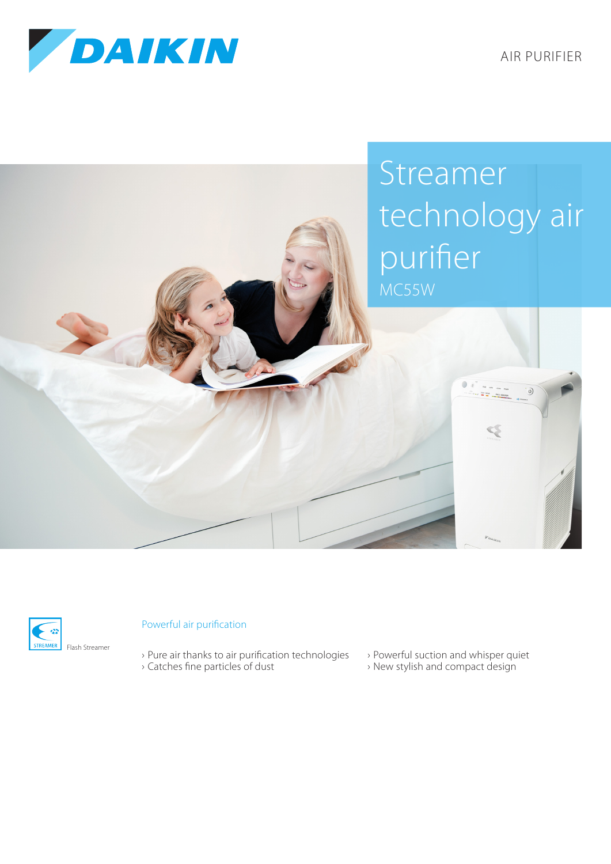

AIR PURIFIER





## Powerful air purification

- › Pure air thanks to air purification technologies › Catches fine particles of dust
- › Powerful suction and whisper quiet
- › New stylish and compact design